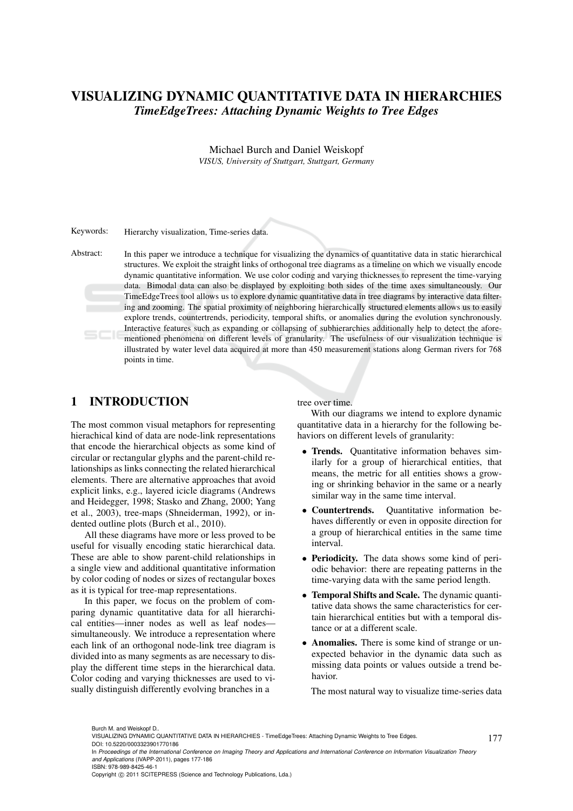# VISUALIZING DYNAMIC QUANTITATIVE DATA IN HIERARCHIES *TimeEdgeTrees: Attaching Dynamic Weights to Tree Edges*

Michael Burch and Daniel Weiskopf *VISUS, University of Stuttgart, Stuttgart, Germany*

Keywords: Hierarchy visualization, Time-series data.

Abstract: In this paper we introduce a technique for visualizing the dynamics of quantitative data in static hierarchical structures. We exploit the straight links of orthogonal tree diagrams as a timeline on which we visually encode dynamic quantitative information. We use color coding and varying thicknesses to represent the time-varying data. Bimodal data can also be displayed by exploiting both sides of the time axes simultaneously. Our TimeEdgeTrees tool allows us to explore dynamic quantitative data in tree diagrams by interactive data filtering and zooming. The spatial proximity of neighboring hierarchically structured elements allows us to easily explore trends, countertrends, periodicity, temporal shifts, or anomalies during the evolution synchronously. Interactive features such as expanding or collapsing of subhierarchies additionally help to detect the aforementioned phenomena on different levels of granularity. The usefulness of our visualization technique is illustrated by water level data acquired at more than 450 measurement stations along German rivers for 768 points in time.

# 1 INTRODUCTION

The most common visual metaphors for representing hierachical kind of data are node-link representations that encode the hierarchical objects as some kind of circular or rectangular glyphs and the parent-child relationships as links connecting the related hierarchical elements. There are alternative approaches that avoid explicit links, e.g., layered icicle diagrams (Andrews and Heidegger, 1998; Stasko and Zhang, 2000; Yang et al., 2003), tree-maps (Shneiderman, 1992), or indented outline plots (Burch et al., 2010).

All these diagrams have more or less proved to be useful for visually encoding static hierarchical data. These are able to show parent-child relationships in a single view and additional quantitative information by color coding of nodes or sizes of rectangular boxes as it is typical for tree-map representations.

In this paper, we focus on the problem of comparing dynamic quantitative data for all hierarchical entities—inner nodes as well as leaf nodes simultaneously. We introduce a representation where each link of an orthogonal node-link tree diagram is divided into as many segments as are necessary to display the different time steps in the hierarchical data. Color coding and varying thicknesses are used to visually distinguish differently evolving branches in a

#### tree over time.

With our diagrams we intend to explore dynamic quantitative data in a hierarchy for the following behaviors on different levels of granularity:

- Trends. Quantitative information behaves similarly for a group of hierarchical entities, that means, the metric for all entities shows a growing or shrinking behavior in the same or a nearly similar way in the same time interval.
- Countertrends. Quantitative information behaves differently or even in opposite direction for a group of hierarchical entities in the same time interval.
- Periodicity. The data shows some kind of periodic behavior: there are repeating patterns in the time-varying data with the same period length.
- Temporal Shifts and Scale. The dynamic quantitative data shows the same characteristics for certain hierarchical entities but with a temporal distance or at a different scale.
- Anomalies. There is some kind of strange or unexpected behavior in the dynamic data such as missing data points or values outside a trend behavior.

The most natural way to visualize time-series data

177

Copyright © 2011 SCITEPRESS (Science and Technology Publications, Lda.)

Burch M. and Weiskopf D..

VISUALIZING DYNAMIC QUANTITATIVE DATA IN HIERARCHIES - TimeEdgeTrees: Attaching Dynamic Weights to Tree Edges. DOI: 10.5220/0003323901770186

In *Proceedings of the International Conference on Imaging Theory and Applications and International Conference on Information Visualization Theory and Applications* (IVAPP-2011), pages 177-186 ISBN: 978-989-8425-46-1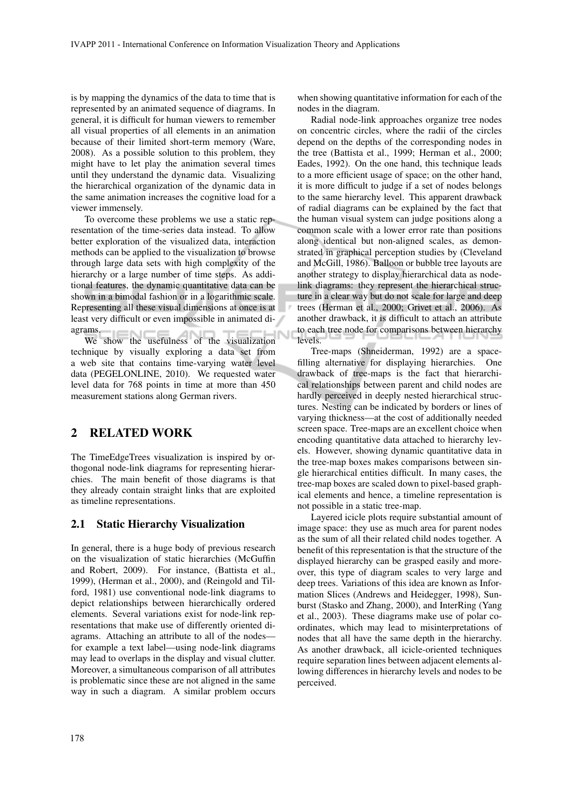is by mapping the dynamics of the data to time that is represented by an animated sequence of diagrams. In general, it is difficult for human viewers to remember all visual properties of all elements in an animation because of their limited short-term memory (Ware, 2008). As a possible solution to this problem, they might have to let play the animation several times until they understand the dynamic data. Visualizing the hierarchical organization of the dynamic data in the same animation increases the cognitive load for a viewer immensely.

To overcome these problems we use a static representation of the time-series data instead. To allow better exploration of the visualized data, interaction methods can be applied to the visualization to browse through large data sets with high complexity of the hierarchy or a large number of time steps. As additional features, the dynamic quantitative data can be shown in a bimodal fashion or in a logarithmic scale. Representing all these visual dimensions at once is at least very difficult or even impossible in animated diagrams.

ams.<br>We show the usefulness of the visualization technique by visually exploring a data set from a web site that contains time-varying water level data (PEGELONLINE, 2010). We requested water level data for 768 points in time at more than 450 measurement stations along German rivers.

# 2 RELATED WORK

The TimeEdgeTrees visualization is inspired by orthogonal node-link diagrams for representing hierarchies. The main benefit of those diagrams is that they already contain straight links that are exploited as timeline representations.

#### 2.1 Static Hierarchy Visualization

In general, there is a huge body of previous research on the visualization of static hierarchies (McGuffin and Robert, 2009). For instance, (Battista et al., 1999), (Herman et al., 2000), and (Reingold and Tilford, 1981) use conventional node-link diagrams to depict relationships between hierarchically ordered elements. Several variations exist for node-link representations that make use of differently oriented diagrams. Attaching an attribute to all of the nodes for example a text label—using node-link diagrams may lead to overlaps in the display and visual clutter. Moreover, a simultaneous comparison of all attributes is problematic since these are not aligned in the same way in such a diagram. A similar problem occurs

when showing quantitative information for each of the nodes in the diagram.

Radial node-link approaches organize tree nodes on concentric circles, where the radii of the circles depend on the depths of the corresponding nodes in the tree (Battista et al., 1999; Herman et al., 2000; Eades, 1992). On the one hand, this technique leads to a more efficient usage of space; on the other hand, it is more difficult to judge if a set of nodes belongs to the same hierarchy level. This apparent drawback of radial diagrams can be explained by the fact that the human visual system can judge positions along a common scale with a lower error rate than positions along identical but non-aligned scales, as demonstrated in graphical perception studies by (Cleveland and McGill, 1986). Balloon or bubble tree layouts are another strategy to display hierarchical data as nodelink diagrams: they represent the hierarchical structure in a clear way but do not scale for large and deep trees (Herman et al., 2000; Grivet et al., 2006). As another drawback, it is difficult to attach an attribute to each tree node for comparisons between hierarchy levels.

Tree-maps (Shneiderman, 1992) are a spacefilling alternative for displaying hierarchies. One drawback of tree-maps is the fact that hierarchical relationships between parent and child nodes are hardly perceived in deeply nested hierarchical structures. Nesting can be indicated by borders or lines of varying thickness—at the cost of additionally needed screen space. Tree-maps are an excellent choice when encoding quantitative data attached to hierarchy levels. However, showing dynamic quantitative data in the tree-map boxes makes comparisons between single hierarchical entities difficult. In many cases, the tree-map boxes are scaled down to pixel-based graphical elements and hence, a timeline representation is not possible in a static tree-map.

Layered icicle plots require substantial amount of image space: they use as much area for parent nodes as the sum of all their related child nodes together. A benefit of this representation is that the structure of the displayed hierarchy can be grasped easily and moreover, this type of diagram scales to very large and deep trees. Variations of this idea are known as Information Slices (Andrews and Heidegger, 1998), Sunburst (Stasko and Zhang, 2000), and InterRing (Yang et al., 2003). These diagrams make use of polar coordinates, which may lead to misinterpretations of nodes that all have the same depth in the hierarchy. As another drawback, all icicle-oriented techniques require separation lines between adjacent elements allowing differences in hierarchy levels and nodes to be perceived.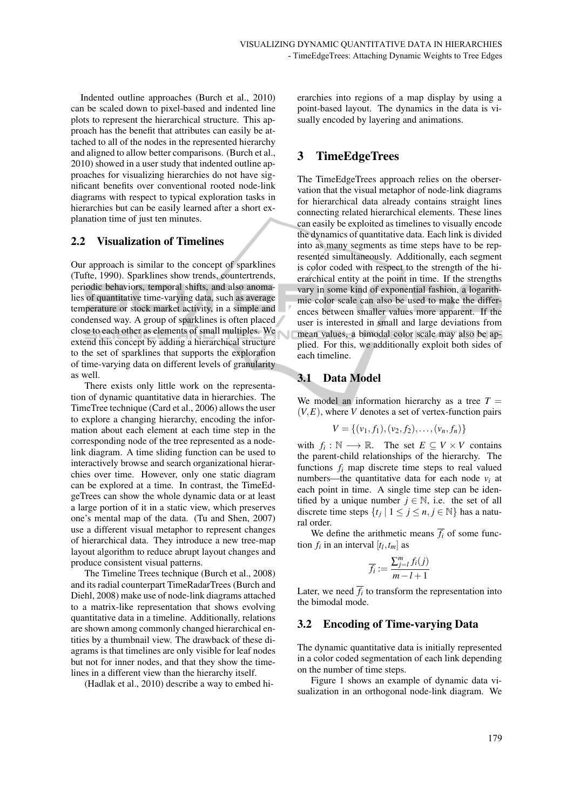Indented outline approaches (Burch et al., 2010) can be scaled down to pixel-based and indented line plots to represent the hierarchical structure. This approach has the benefit that attributes can easily be attached to all of the nodes in the represented hierarchy and aligned to allow better comparisons. (Burch et al., 2010) showed in a user study that indented outline approaches for visualizing hierarchies do not have significant benefits over conventional rooted node-link diagrams with respect to typical exploration tasks in hierarchies but can be easily learned after a short explanation time of just ten minutes.

#### 2.2 Visualization of Timelines

Our approach is similar to the concept of sparklines (Tufte, 1990). Sparklines show trends, countertrends, periodic behaviors, temporal shifts, and also anomalies of quantitative time-varying data, such as average temperature or stock market activity, in a simple and condensed way. A group of sparklines is often placed close to each other as elements of small multiples. We extend this concept by adding a hierarchical structure to the set of sparklines that supports the exploration of time-varying data on different levels of granularity as well.

There exists only little work on the representation of dynamic quantitative data in hierarchies. The TimeTree technique (Card et al., 2006) allows the user to explore a changing hierarchy, encoding the information about each element at each time step in the corresponding node of the tree represented as a nodelink diagram. A time sliding function can be used to interactively browse and search organizational hierarchies over time. However, only one static diagram can be explored at a time. In contrast, the TimeEdgeTrees can show the whole dynamic data or at least a large portion of it in a static view, which preserves one's mental map of the data. (Tu and Shen, 2007) use a different visual metaphor to represent changes of hierarchical data. They introduce a new tree-map layout algorithm to reduce abrupt layout changes and produce consistent visual patterns.

The Timeline Trees technique (Burch et al., 2008) and its radial counterpart TimeRadarTrees (Burch and Diehl, 2008) make use of node-link diagrams attached to a matrix-like representation that shows evolving quantitative data in a timeline. Additionally, relations are shown among commonly changed hierarchical entities by a thumbnail view. The drawback of these diagrams is that timelines are only visible for leaf nodes but not for inner nodes, and that they show the timelines in a different view than the hierarchy itself.

(Hadlak et al., 2010) describe a way to embed hi-

erarchies into regions of a map display by using a point-based layout. The dynamics in the data is visually encoded by layering and animations.

# 3 TimeEdgeTrees

The TimeEdgeTrees approach relies on the oberservation that the visual metaphor of node-link diagrams for hierarchical data already contains straight lines connecting related hierarchical elements. These lines can easily be exploited as timelines to visually encode the dynamics of quantitative data. Each link is divided into as many segments as time steps have to be represented simultaneously. Additionally, each segment is color coded with respect to the strength of the hierarchical entity at the point in time. If the strengths vary in some kind of exponential fashion, a logarithmic color scale can also be used to make the differences between smaller values more apparent. If the user is interested in small and large deviations from mean values, a bimodal color scale may also be applied. For this, we additionally exploit both sides of each timeline.

# 3.1 Data Model

We model an information hierarchy as a tree  $T =$  $(V, E)$ , where *V* denotes a set of vertex-function pairs

$$
V = \{ (v_1, f_1), (v_2, f_2), \dots, (v_n, f_n) \}
$$

with  $f_i: \mathbb{N} \longrightarrow \mathbb{R}$ . The set  $E \subseteq V \times V$  contains the parent-child relationships of the hierarchy. The functions  $f_i$  map discrete time steps to real valued numbers—the quantitative data for each node  $v_i$  at each point in time. A single time step can be identified by a unique number  $j \in \mathbb{N}$ , i.e. the set of all discrete time steps  $\{t_j | 1 \leq j \leq n, j \in \mathbb{N}\}\)$  has a natural order.

We define the arithmetic means  $\overline{f_i}$  of some function  $f_i$  in an interval  $[t_l, t_m]$  as

$$
\overline{f_i} := \frac{\sum_{j=l}^m f_i(j)}{m-l+1}
$$

Later, we need  $f_i$  to transform the representation into the bimodal mode.

#### 3.2 Encoding of Time-varying Data

The dynamic quantitative data is initially represented in a color coded segmentation of each link depending on the number of time steps.

Figure 1 shows an example of dynamic data visualization in an orthogonal node-link diagram. We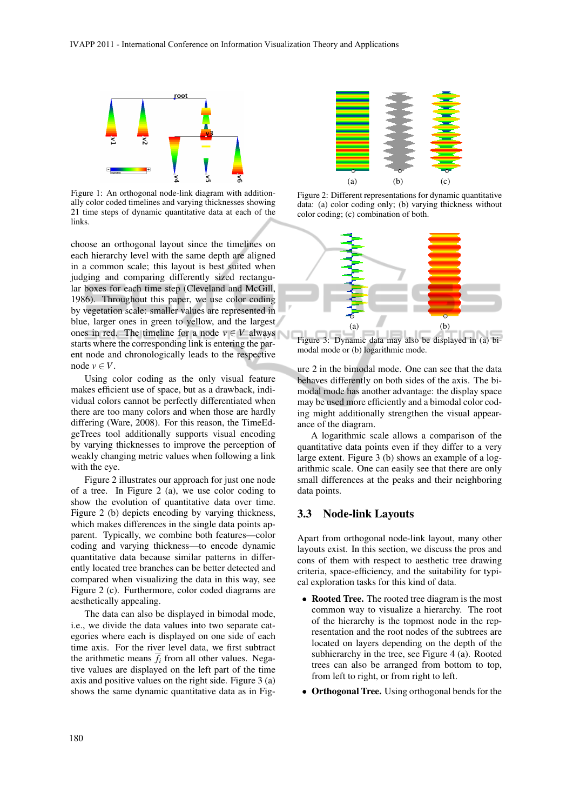

Figure 1: An orthogonal node-link diagram with additionally color coded timelines and varying thicknesses showing 21 time steps of dynamic quantitative data at each of the links.

choose an orthogonal layout since the timelines on each hierarchy level with the same depth are aligned in a common scale; this layout is best suited when judging and comparing differently sized rectangular boxes for each time step (Cleveland and McGill, 1986). Throughout this paper, we use color coding by vegetation scale: smaller values are represented in blue, larger ones in green to yellow, and the largest ones in red. The timeline for a node  $v \in V$  always starts where the corresponding link is entering the parent node and chronologically leads to the respective node  $v \in V$ .

Using color coding as the only visual feature makes efficient use of space, but as a drawback, individual colors cannot be perfectly differentiated when there are too many colors and when those are hardly differing (Ware, 2008). For this reason, the TimeEdgeTrees tool additionally supports visual encoding by varying thicknesses to improve the perception of weakly changing metric values when following a link with the eye.

Figure 2 illustrates our approach for just one node of a tree. In Figure 2 (a), we use color coding to show the evolution of quantitative data over time. Figure 2 (b) depicts encoding by varying thickness, which makes differences in the single data points apparent. Typically, we combine both features—color coding and varying thickness—to encode dynamic quantitative data because similar patterns in differently located tree branches can be better detected and compared when visualizing the data in this way, see Figure 2 (c). Furthermore, color coded diagrams are aesthetically appealing.

The data can also be displayed in bimodal mode, i.e., we divide the data values into two separate categories where each is displayed on one side of each time axis. For the river level data, we first subtract the arithmetic means  $\overline{f_i}$  from all other values. Negative values are displayed on the left part of the time axis and positive values on the right side. Figure 3 (a) shows the same dynamic quantitative data as in Fig-



Figure 2: Different representations for dynamic quantitative data: (a) color coding only; (b) varying thickness without color coding; (c) combination of both.



Figure 3: Dynamic data may also be displayed in (a) bimodal mode or (b) logarithmic mode.

ure 2 in the bimodal mode. One can see that the data behaves differently on both sides of the axis. The bimodal mode has another advantage: the display space may be used more efficiently and a bimodal color coding might additionally strengthen the visual appearance of the diagram.

A logarithmic scale allows a comparison of the quantitative data points even if they differ to a very large extent. Figure 3 (b) shows an example of a logarithmic scale. One can easily see that there are only small differences at the peaks and their neighboring data points.

#### 3.3 Node-link Layouts

Apart from orthogonal node-link layout, many other layouts exist. In this section, we discuss the pros and cons of them with respect to aesthetic tree drawing criteria, space-efficiency, and the suitability for typical exploration tasks for this kind of data.

- Rooted Tree. The rooted tree diagram is the most common way to visualize a hierarchy. The root of the hierarchy is the topmost node in the representation and the root nodes of the subtrees are located on layers depending on the depth of the subhierarchy in the tree, see Figure 4 (a). Rooted trees can also be arranged from bottom to top, from left to right, or from right to left.
- Orthogonal Tree. Using orthogonal bends for the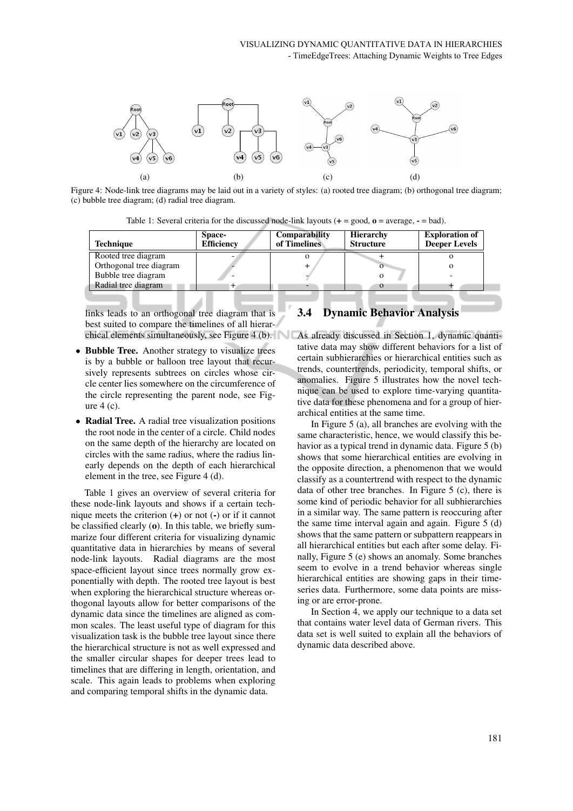

Figure 4: Node-link tree diagrams may be laid out in a variety of styles: (a) rooted tree diagram; (b) orthogonal tree diagram; (c) bubble tree diagram; (d) radial tree diagram.

| Table 1: Several criteria for the discussed node-link layouts $(+) = \text{good}, \textbf{o} = \text{average}, \textbf{--} = \text{bad})$ . |  |  |
|---------------------------------------------------------------------------------------------------------------------------------------------|--|--|
|---------------------------------------------------------------------------------------------------------------------------------------------|--|--|

| Space-<br><b>Efficiency</b> | Comparability<br>of Timelines | <b>Hierarchy</b><br><b>Structure</b> | <b>Exploration of</b><br><b>Deeper Levels</b> |
|-----------------------------|-------------------------------|--------------------------------------|-----------------------------------------------|
|                             |                               |                                      |                                               |
|                             |                               |                                      |                                               |
|                             |                               |                                      |                                               |
|                             |                               | $\Omega$                             |                                               |
|                             |                               |                                      |                                               |

links leads to an orthogonal tree diagram that is best suited to compare the timelines of all hierar-

- Bubble Tree. Another strategy to visualize trees is by a bubble or balloon tree layout that recursively represents subtrees on circles whose circle center lies somewhere on the circumference of the circle representing the parent node, see Figure 4 (c).
- Radial Tree. A radial tree visualization positions the root node in the center of a circle. Child nodes on the same depth of the hierarchy are located on circles with the same radius, where the radius linearly depends on the depth of each hierarchical element in the tree, see Figure 4 (d).

Table 1 gives an overview of several criteria for these node-link layouts and shows if a certain technique meets the criterion  $(+)$  or not  $(-)$  or if it cannot be classified clearly (o). In this table, we briefly summarize four different criteria for visualizing dynamic quantitative data in hierarchies by means of several node-link layouts. Radial diagrams are the most space-efficient layout since trees normally grow exponentially with depth. The rooted tree layout is best when exploring the hierarchical structure whereas orthogonal layouts allow for better comparisons of the dynamic data since the timelines are aligned as common scales. The least useful type of diagram for this visualization task is the bubble tree layout since there the hierarchical structure is not as well expressed and the smaller circular shapes for deeper trees lead to timelines that are differing in length, orientation, and scale. This again leads to problems when exploring and comparing temporal shifts in the dynamic data.

# 3.4 Dynamic Behavior Analysis

chical elements simultaneously, see Figure 4 (b). As already discussed in Section 1, dynamic quantitative data may show different behaviors for a list of certain subhierarchies or hierarchical entities such as trends, countertrends, periodicity, temporal shifts, or anomalies. Figure 5 illustrates how the novel technique can be used to explore time-varying quantitative data for these phenomena and for a group of hierarchical entities at the same time.

> In Figure 5 (a), all branches are evolving with the same characteristic, hence, we would classify this behavior as a typical trend in dynamic data. Figure 5 (b) shows that some hierarchical entities are evolving in the opposite direction, a phenomenon that we would classify as a countertrend with respect to the dynamic data of other tree branches. In Figure 5 (c), there is some kind of periodic behavior for all subhierarchies in a similar way. The same pattern is reoccuring after the same time interval again and again. Figure 5 (d) shows that the same pattern or subpattern reappears in all hierarchical entities but each after some delay. Finally, Figure 5 (e) shows an anomaly. Some branches seem to evolve in a trend behavior whereas single hierarchical entities are showing gaps in their timeseries data. Furthermore, some data points are missing or are error-prone.

> In Section 4, we apply our technique to a data set that contains water level data of German rivers. This data set is well suited to explain all the behaviors of dynamic data described above.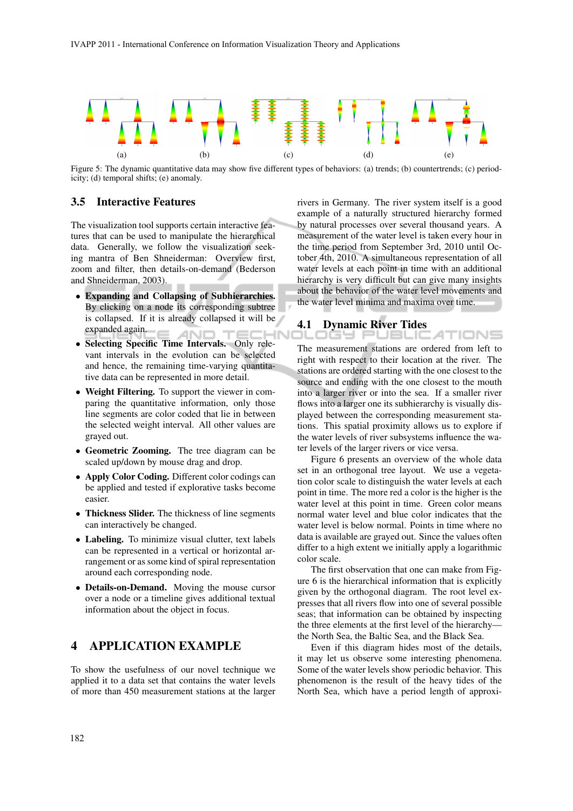

Figure 5: The dynamic quantitative data may show five different types of behaviors: (a) trends; (b) countertrends; (c) periodicity; (d) temporal shifts; (e) anomaly.

#### 3.5 Interactive Features

The visualization tool supports certain interactive features that can be used to manipulate the hierarchical data. Generally, we follow the visualization seeking mantra of Ben Shneiderman: Overview first, zoom and filter, then details-on-demand (Bederson and Shneiderman, 2003).

- Expanding and Collapsing of Subhierarchies. By clicking on a node its corresponding subtree is collapsed. If it is already collapsed it will be expanded again. AND -IN
- Selecting Specific Time Intervals. Only relevant intervals in the evolution can be selected and hence, the remaining time-varying quantitative data can be represented in more detail.
- Weight Filtering. To support the viewer in comparing the quantitative information, only those line segments are color coded that lie in between the selected weight interval. All other values are grayed out.
- Geometric Zooming. The tree diagram can be scaled up/down by mouse drag and drop.
- Apply Color Coding. Different color codings can be applied and tested if explorative tasks become easier.
- Thickness Slider. The thickness of line segments can interactively be changed.
- Labeling. To minimize visual clutter, text labels can be represented in a vertical or horizontal arrangement or as some kind of spiral representation around each corresponding node.
- Details-on-Demand. Moving the mouse cursor over a node or a timeline gives additional textual information about the object in focus.

# 4 APPLICATION EXAMPLE

To show the usefulness of our novel technique we applied it to a data set that contains the water levels of more than 450 measurement stations at the larger

rivers in Germany. The river system itself is a good example of a naturally structured hierarchy formed by natural processes over several thousand years. A measurement of the water level is taken every hour in the time period from September 3rd, 2010 until October 4th, 2010. A simultaneous representation of all water levels at each point in time with an additional hierarchy is very difficult but can give many insights about the behavior of the water level movements and the water level minima and maxima over time.

# 4.1 Dynamic River Tides

The measurement stations are ordered from left to right with respect to their location at the river. The stations are ordered starting with the one closest to the source and ending with the one closest to the mouth into a larger river or into the sea. If a smaller river flows into a larger one its subhierarchy is visually displayed between the corresponding measurement stations. This spatial proximity allows us to explore if the water levels of river subsystems influence the water levels of the larger rivers or vice versa.

Figure 6 presents an overview of the whole data set in an orthogonal tree layout. We use a vegetation color scale to distinguish the water levels at each point in time. The more red a color is the higher is the water level at this point in time. Green color means normal water level and blue color indicates that the water level is below normal. Points in time where no data is available are grayed out. Since the values often differ to a high extent we initially apply a logarithmic color scale.

The first observation that one can make from Figure 6 is the hierarchical information that is explicitly given by the orthogonal diagram. The root level expresses that all rivers flow into one of several possible seas; that information can be obtained by inspecting the three elements at the first level of the hierarchy the North Sea, the Baltic Sea, and the Black Sea.

Even if this diagram hides most of the details, it may let us observe some interesting phenomena. Some of the water levels show periodic behavior. This phenomenon is the result of the heavy tides of the North Sea, which have a period length of approxi-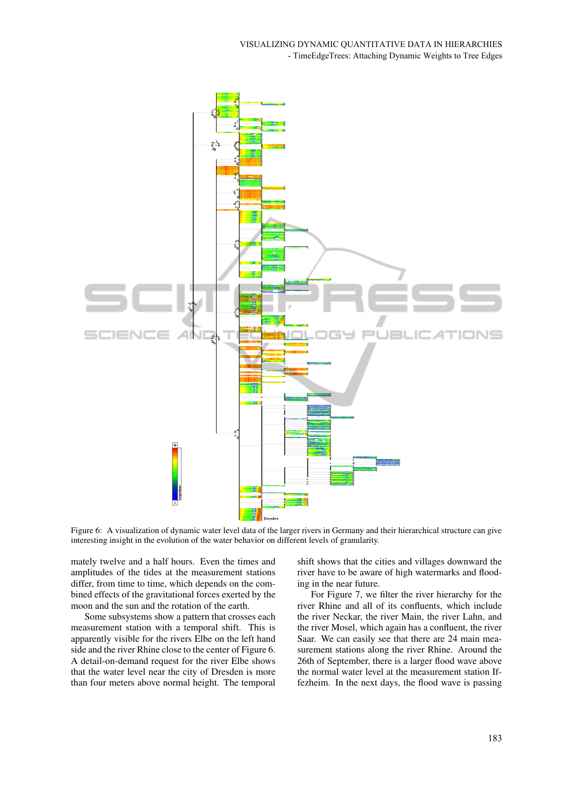

Figure 6: A visualization of dynamic water level data of the larger rivers in Germany and their hierarchical structure can give interesting insight in the evolution of the water behavior on different levels of granularity.

mately twelve and a half hours. Even the times and amplitudes of the tides at the measurement stations differ, from time to time, which depends on the combined effects of the gravitational forces exerted by the moon and the sun and the rotation of the earth.

Some subsystems show a pattern that crosses each measurement station with a temporal shift. This is apparently visible for the rivers Elbe on the left hand side and the river Rhine close to the center of Figure 6. A detail-on-demand request for the river Elbe shows that the water level near the city of Dresden is more than four meters above normal height. The temporal

shift shows that the cities and villages downward the river have to be aware of high watermarks and flooding in the near future.

For Figure 7, we filter the river hierarchy for the river Rhine and all of its confluents, which include the river Neckar, the river Main, the river Lahn, and the river Mosel, which again has a confluent, the river Saar. We can easily see that there are 24 main measurement stations along the river Rhine. Around the 26th of September, there is a larger flood wave above the normal water level at the measurement station Iffezheim. In the next days, the flood wave is passing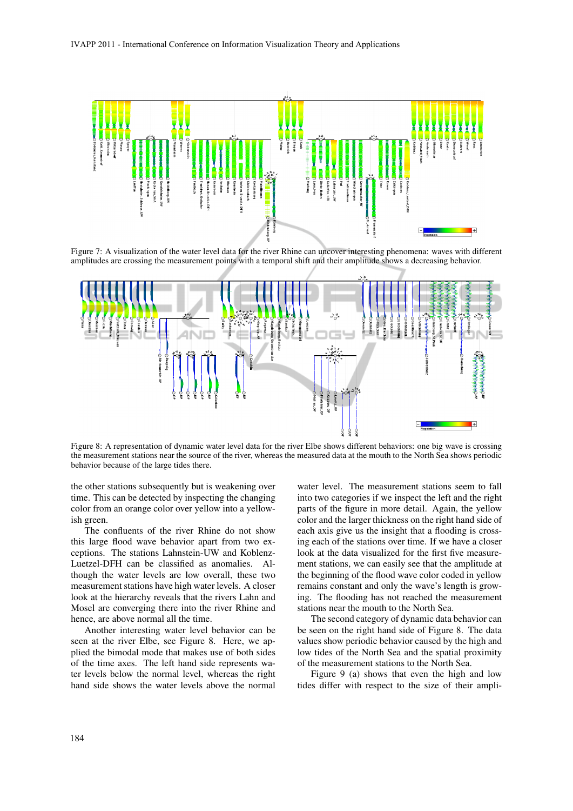

Figure 7: A visualization of the water level data for the river Rhine can uncover interesting phenomena: waves with different amplitudes are crossing the measurement points with a temporal shift and their amplitude shows a decreasing behavior.



Figure 8: A representation of dynamic water level data for the river Elbe shows different behaviors: one big wave is crossing the measurement stations near the source of the river, whereas the measured data at the mouth to the North Sea shows periodic behavior because of the large tides there.

the other stations subsequently but is weakening over time. This can be detected by inspecting the changing color from an orange color over yellow into a yellowish green.

The confluents of the river Rhine do not show this large flood wave behavior apart from two exceptions. The stations Lahnstein-UW and Koblenz-Luetzel-DFH can be classified as anomalies. Although the water levels are low overall, these two measurement stations have high water levels. A closer look at the hierarchy reveals that the rivers Lahn and Mosel are converging there into the river Rhine and hence, are above normal all the time.

Another interesting water level behavior can be seen at the river Elbe, see Figure 8. Here, we applied the bimodal mode that makes use of both sides of the time axes. The left hand side represents water levels below the normal level, whereas the right hand side shows the water levels above the normal

water level. The measurement stations seem to fall into two categories if we inspect the left and the right parts of the figure in more detail. Again, the yellow color and the larger thickness on the right hand side of each axis give us the insight that a flooding is crossing each of the stations over time. If we have a closer look at the data visualized for the first five measurement stations, we can easily see that the amplitude at the beginning of the flood wave color coded in yellow remains constant and only the wave's length is growing. The flooding has not reached the measurement stations near the mouth to the North Sea.

The second category of dynamic data behavior can be seen on the right hand side of Figure 8. The data values show periodic behavior caused by the high and low tides of the North Sea and the spatial proximity of the measurement stations to the North Sea.

Figure 9 (a) shows that even the high and low tides differ with respect to the size of their ampli-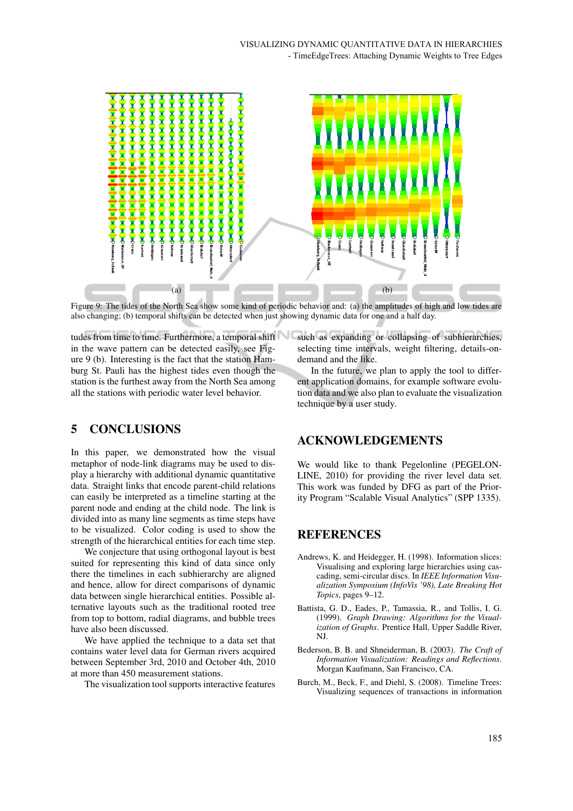

Figure 9: The tides of the North Sea show some kind of periodic behavior and: (a) the amplitudes of high and low tides are also changing; (b) temporal shifts can be detected when just showing dynamic data for one and a half day.

tudes from time to time. Furthermore, a temporal shift in the wave pattern can be detected easily, see Figure 9 (b). Interesting is the fact that the station Hamburg St. Pauli has the highest tides even though the station is the furthest away from the North Sea among all the stations with periodic water level behavior.

# 5 CONCLUSIONS

In this paper, we demonstrated how the visual metaphor of node-link diagrams may be used to display a hierarchy with additional dynamic quantitative data. Straight links that encode parent-child relations can easily be interpreted as a timeline starting at the parent node and ending at the child node. The link is divided into as many line segments as time steps have to be visualized. Color coding is used to show the strength of the hierarchical entities for each time step.

We conjecture that using orthogonal layout is best suited for representing this kind of data since only there the timelines in each subhierarchy are aligned and hence, allow for direct comparisons of dynamic data between single hierarchical entities. Possible alternative layouts such as the traditional rooted tree from top to bottom, radial diagrams, and bubble trees have also been discussed.

We have applied the technique to a data set that contains water level data for German rivers acquired between September 3rd, 2010 and October 4th, 2010 at more than 450 measurement stations.

The visualization tool supports interactive features

such as expanding or collapsing of subhierarchies, selecting time intervals, weight filtering, details-ondemand and the like.

In the future, we plan to apply the tool to different application domains, for example software evolution data and we also plan to evaluate the visualization technique by a user study.

## ACKNOWLEDGEMENTS

We would like to thank Pegelonline (PEGELON-LINE, 2010) for providing the river level data set. This work was funded by DFG as part of the Priority Program "Scalable Visual Analytics" (SPP 1335).

## REFERENCES

- Andrews, K. and Heidegger, H. (1998). Information slices: Visualising and exploring large hierarchies using cascading, semi-circular discs. In *IEEE Information Visualization Symposium (InfoVis '98), Late Breaking Hot Topics*, pages 9–12.
- Battista, G. D., Eades, P., Tamassia, R., and Tollis, I. G. (1999). *Graph Drawing: Algorithms for the Visualization of Graphs*. Prentice Hall, Upper Saddle River, NJ.
- Bederson, B. B. and Shneiderman, B. (2003). *The Craft of Information Visualization: Readings and Reflections*. Morgan Kaufmann, San Francisco, CA.
- Burch, M., Beck, F., and Diehl, S. (2008). Timeline Trees: Visualizing sequences of transactions in information